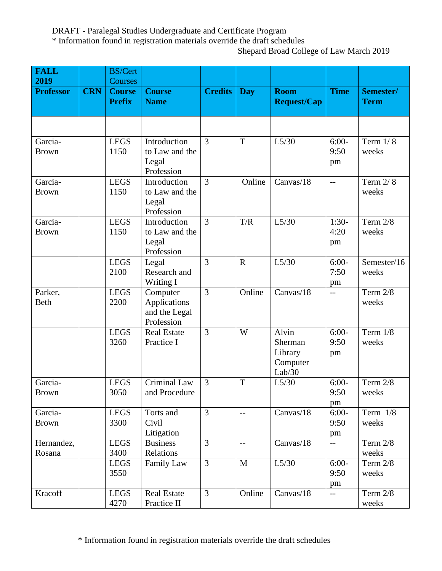DRAFT - Paralegal Studies Undergraduate and Certificate Program

\* Information found in registration materials override the draft schedules

Shepard Broad College of Law March 2019

| <b>FALL</b>      |            | <b>BS/Cert</b>                 |                              |                |                          |                                   |                                |                          |
|------------------|------------|--------------------------------|------------------------------|----------------|--------------------------|-----------------------------------|--------------------------------|--------------------------|
| 2019             |            | <b>Courses</b>                 |                              |                |                          |                                   |                                |                          |
| <b>Professor</b> | <b>CRN</b> | <b>Course</b><br><b>Prefix</b> | <b>Course</b><br><b>Name</b> | <b>Credits</b> | <b>Day</b>               | <b>Room</b><br><b>Request/Cap</b> | <b>Time</b>                    | Semester/<br><b>Term</b> |
|                  |            |                                |                              |                |                          |                                   |                                |                          |
|                  |            |                                |                              |                |                          |                                   |                                |                          |
|                  |            |                                |                              |                |                          |                                   |                                |                          |
| Garcia-          |            | <b>LEGS</b>                    | Introduction                 | 3              | T                        | L5/30                             | $6:00-$                        | Term $1/8$               |
| <b>Brown</b>     |            | 1150                           | to Law and the               |                |                          |                                   | 9:50                           | weeks                    |
|                  |            |                                | Legal<br>Profession          |                |                          |                                   | pm                             |                          |
| Garcia-          |            | <b>LEGS</b>                    | Introduction                 | 3              | Online                   | Canvas/18                         | $-$                            | Term $2/8$               |
| <b>Brown</b>     |            | 1150                           | to Law and the               |                |                          |                                   |                                | weeks                    |
|                  |            |                                | Legal                        |                |                          |                                   |                                |                          |
|                  |            |                                | Profession                   |                |                          |                                   |                                |                          |
| Garcia-          |            | <b>LEGS</b>                    | Introduction                 | $\overline{3}$ | T/R                      | L5/30                             | $1:30-$                        | Term 2/8                 |
| <b>Brown</b>     |            | 1150                           | to Law and the               |                |                          |                                   | 4:20                           | weeks                    |
|                  |            |                                | Legal                        |                |                          |                                   | pm                             |                          |
|                  |            |                                | Profession                   |                |                          |                                   |                                |                          |
|                  |            | <b>LEGS</b><br>2100            | Legal<br>Research and        | $\overline{3}$ | $\mathbf R$              | L5/30                             | $6:00-$<br>7:50                | Semester/16<br>weeks     |
|                  |            |                                | Writing I                    |                |                          |                                   | pm                             |                          |
| Parker,          |            | <b>LEGS</b>                    | Computer                     | 3              | Online                   | Canvas/18                         | $-$                            | Term $2/8$               |
| <b>Beth</b>      |            | 2200                           | Applications                 |                |                          |                                   |                                | weeks                    |
|                  |            |                                | and the Legal                |                |                          |                                   |                                |                          |
|                  |            |                                | Profession                   |                |                          |                                   |                                |                          |
|                  |            | <b>LEGS</b>                    | <b>Real Estate</b>           | $\overline{3}$ | W                        | Alvin                             | $6:00-$                        | Term $1/8$               |
|                  |            | 3260                           | Practice I                   |                |                          | Sherman                           | 9:50                           | weeks                    |
|                  |            |                                |                              |                |                          | Library                           | pm                             |                          |
|                  |            |                                |                              |                |                          | Computer<br>Lab/30                |                                |                          |
| Garcia-          |            | <b>LEGS</b>                    | <b>Criminal Law</b>          | $\overline{3}$ | T                        | L5/30                             | $6:00-$                        | Term 2/8                 |
| <b>Brown</b>     |            | 3050                           | and Procedure                |                |                          |                                   | 9:50                           | weeks                    |
|                  |            |                                |                              |                |                          |                                   | pm                             |                          |
| Garcia-          |            | <b>LEGS</b>                    | Torts and                    | $\mathfrak{Z}$ | $\overline{\phantom{m}}$ | Canvas/18                         | $6:00-$                        | Term $1/8$               |
| <b>Brown</b>     |            | 3300                           | Civil                        |                |                          |                                   | 9:50                           | weeks                    |
|                  |            |                                | Litigation                   |                |                          |                                   | pm                             |                          |
| Hernandez,       |            | <b>LEGS</b>                    | <b>Business</b>              | 3              | $\mathbf{u}$             | Canvas/18                         | $---$                          | Term 2/8                 |
| Rosana           |            | 3400                           | Relations                    |                |                          |                                   |                                | weeks                    |
|                  |            | <b>LEGS</b>                    | Family Law                   | $\overline{3}$ | M                        | L5/30                             | $6:00-$                        | Term $2/8$               |
|                  |            | 3550                           |                              |                |                          |                                   | 9:50                           | weeks                    |
| Kracoff          |            | <b>LEGS</b>                    | <b>Real Estate</b>           | $\mathfrak{Z}$ | Online                   | Canvas/18                         | pm<br>$\overline{\phantom{a}}$ | Term $2/8$               |
|                  |            | 4270                           | Practice II                  |                |                          |                                   |                                | weeks                    |

\* Information found in registration materials override the draft schedules